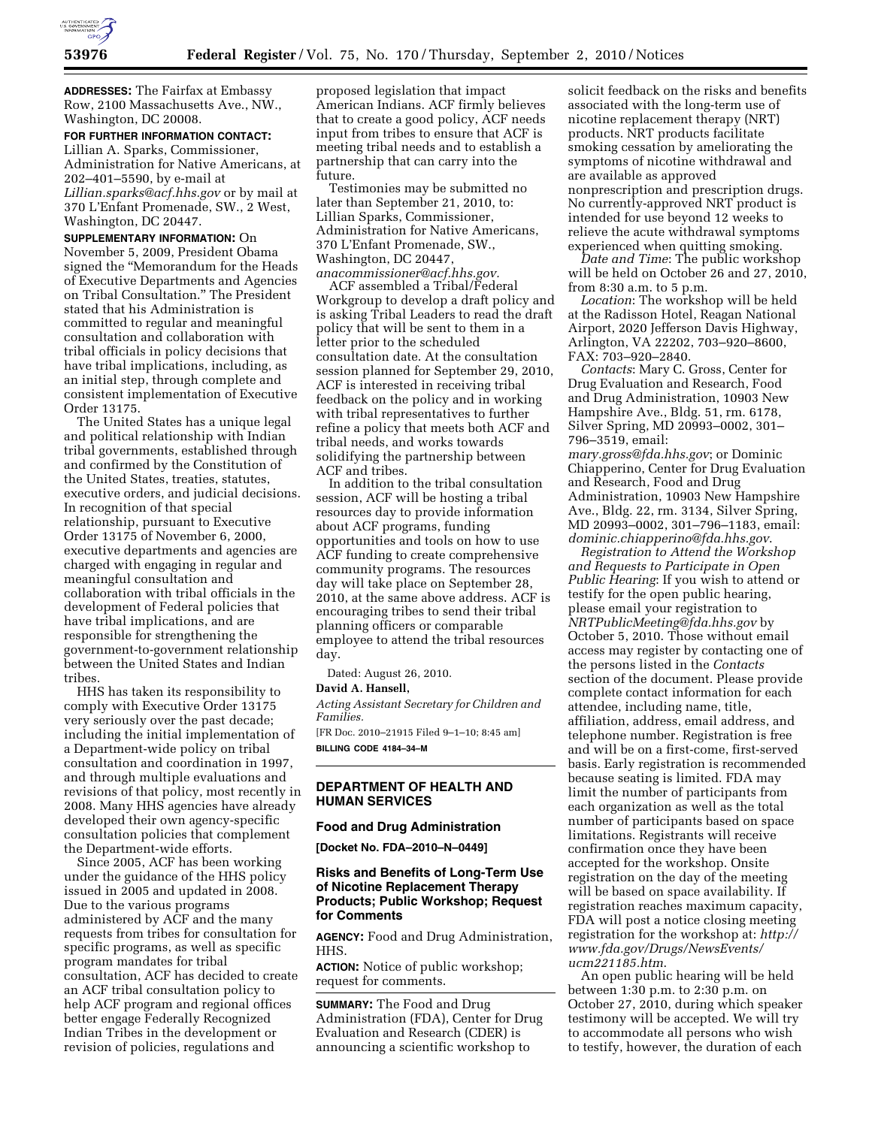

**ADDRESSES:** The Fairfax at Embassy Row, 2100 Massachusetts Ave., NW., Washington, DC 20008.

#### **FOR FURTHER INFORMATION CONTACT:**

Lillian A. Sparks, Commissioner, Administration for Native Americans, at 202–401–5590, by e-mail at *[Lillian.sparks@acf.hhs.gov](mailto:Lillian.sparks@acf.hhs.gov)* or by mail at 370 L'Enfant Promenade, SW., 2 West, Washington, DC 20447.

**SUPPLEMENTARY INFORMATION:** On November 5, 2009, President Obama signed the ''Memorandum for the Heads of Executive Departments and Agencies on Tribal Consultation.'' The President stated that his Administration is committed to regular and meaningful consultation and collaboration with tribal officials in policy decisions that have tribal implications, including, as an initial step, through complete and consistent implementation of Executive Order 13175.

The United States has a unique legal and political relationship with Indian tribal governments, established through and confirmed by the Constitution of the United States, treaties, statutes, executive orders, and judicial decisions. In recognition of that special relationship, pursuant to Executive Order 13175 of November 6, 2000, executive departments and agencies are charged with engaging in regular and meaningful consultation and collaboration with tribal officials in the development of Federal policies that have tribal implications, and are responsible for strengthening the government-to-government relationship between the United States and Indian tribes.

HHS has taken its responsibility to comply with Executive Order 13175 very seriously over the past decade; including the initial implementation of a Department-wide policy on tribal consultation and coordination in 1997, and through multiple evaluations and revisions of that policy, most recently in 2008. Many HHS agencies have already developed their own agency-specific consultation policies that complement the Department-wide efforts.

Since 2005, ACF has been working under the guidance of the HHS policy issued in 2005 and updated in 2008. Due to the various programs administered by ACF and the many requests from tribes for consultation for specific programs, as well as specific program mandates for tribal consultation, ACF has decided to create an ACF tribal consultation policy to help ACF program and regional offices better engage Federally Recognized Indian Tribes in the development or revision of policies, regulations and

proposed legislation that impact American Indians. ACF firmly believes that to create a good policy, ACF needs input from tribes to ensure that ACF is meeting tribal needs and to establish a partnership that can carry into the future.

Testimonies may be submitted no later than September 21, 2010, to: Lillian Sparks, Commissioner, Administration for Native Americans, 370 L'Enfant Promenade, SW., Washington, DC 20447, *[anacommissioner@acf.hhs.gov.](mailto:anacommissioner@acf.hhs.gov)* 

ACF assembled a Tribal/Federal Workgroup to develop a draft policy and is asking Tribal Leaders to read the draft policy that will be sent to them in a letter prior to the scheduled consultation date. At the consultation session planned for September 29, 2010, ACF is interested in receiving tribal feedback on the policy and in working with tribal representatives to further refine a policy that meets both ACF and tribal needs, and works towards solidifying the partnership between ACF and tribes.

In addition to the tribal consultation session, ACF will be hosting a tribal resources day to provide information about ACF programs, funding opportunities and tools on how to use ACF funding to create comprehensive community programs. The resources day will take place on September 28, 2010, at the same above address. ACF is encouraging tribes to send their tribal planning officers or comparable employee to attend the tribal resources day.

Dated: August 26, 2010.

### **David A. Hansell,**

*Acting Assistant Secretary for Children and Families.* 

[FR Doc. 2010–21915 Filed 9–1–10; 8:45 am] **BILLING CODE 4184–34–M** 

# **DEPARTMENT OF HEALTH AND HUMAN SERVICES**

### **Food and Drug Administration**

**[Docket No. FDA–2010–N–0449]** 

# **Risks and Benefits of Long-Term Use of Nicotine Replacement Therapy Products; Public Workshop; Request for Comments**

**AGENCY:** Food and Drug Administration, HHS.

**ACTION:** Notice of public workshop; request for comments.

**SUMMARY:** The Food and Drug Administration (FDA), Center for Drug Evaluation and Research (CDER) is announcing a scientific workshop to

solicit feedback on the risks and benefits associated with the long-term use of nicotine replacement therapy (NRT) products. NRT products facilitate smoking cessation by ameliorating the symptoms of nicotine withdrawal and are available as approved nonprescription and prescription drugs. No currently-approved NRT product is intended for use beyond 12 weeks to relieve the acute withdrawal symptoms experienced when quitting smoking.

*Date and Time*: The public workshop will be held on October 26 and 27, 2010, from 8:30 a.m. to 5 p.m.

*Location*: The workshop will be held at the Radisson Hotel, Reagan National Airport, 2020 Jefferson Davis Highway, Arlington, VA 22202, 703–920–8600, FAX: 703–920–2840.

*Contacts*: Mary C. Gross, Center for Drug Evaluation and Research, Food and Drug Administration, 10903 New Hampshire Ave., Bldg. 51, rm. 6178, Silver Spring, MD 20993–0002, 301– 796–3519, email:

*[mary.gross@fda.hhs.gov](mailto:mary.gross@fda.hhs.gov)*; or Dominic Chiapperino, Center for Drug Evaluation and Research, Food and Drug Administration, 10903 New Hampshire Ave., Bldg. 22, rm. 3134, Silver Spring, MD 20993–0002, 301–796–1183, email: *[dominic.chiapperino@fda.hhs.gov](mailto:dominic.chiapperino@fda.hhs.gov)*.

*Registration to Attend the Workshop and Requests to Participate in Open Public Hearing*: If you wish to attend or testify for the open public hearing, please email your registration to *[NRTPublicMeeting@fda.hhs.gov](mailto:NRTPublicMeeting@fda.hhs.gov)* by October 5, 2010. Those without email access may register by contacting one of the persons listed in the *Contacts*  section of the document. Please provide complete contact information for each attendee, including name, title, affiliation, address, email address, and telephone number. Registration is free and will be on a first-come, first-served basis. Early registration is recommended because seating is limited. FDA may limit the number of participants from each organization as well as the total number of participants based on space limitations. Registrants will receive confirmation once they have been accepted for the workshop. Onsite registration on the day of the meeting will be based on space availability. If registration reaches maximum capacity, FDA will post a notice closing meeting registration for the workshop at: *[http://](http://www.fda.gov/Drugs/NewsEvents/ucm221185.htm) [www.fda.gov/Drugs/NewsEvents/](http://www.fda.gov/Drugs/NewsEvents/ucm221185.htm) [ucm221185.htm](http://www.fda.gov/Drugs/NewsEvents/ucm221185.htm)*.

An open public hearing will be held between 1:30 p.m. to 2:30 p.m. on October 27, 2010, during which speaker testimony will be accepted. We will try to accommodate all persons who wish to testify, however, the duration of each